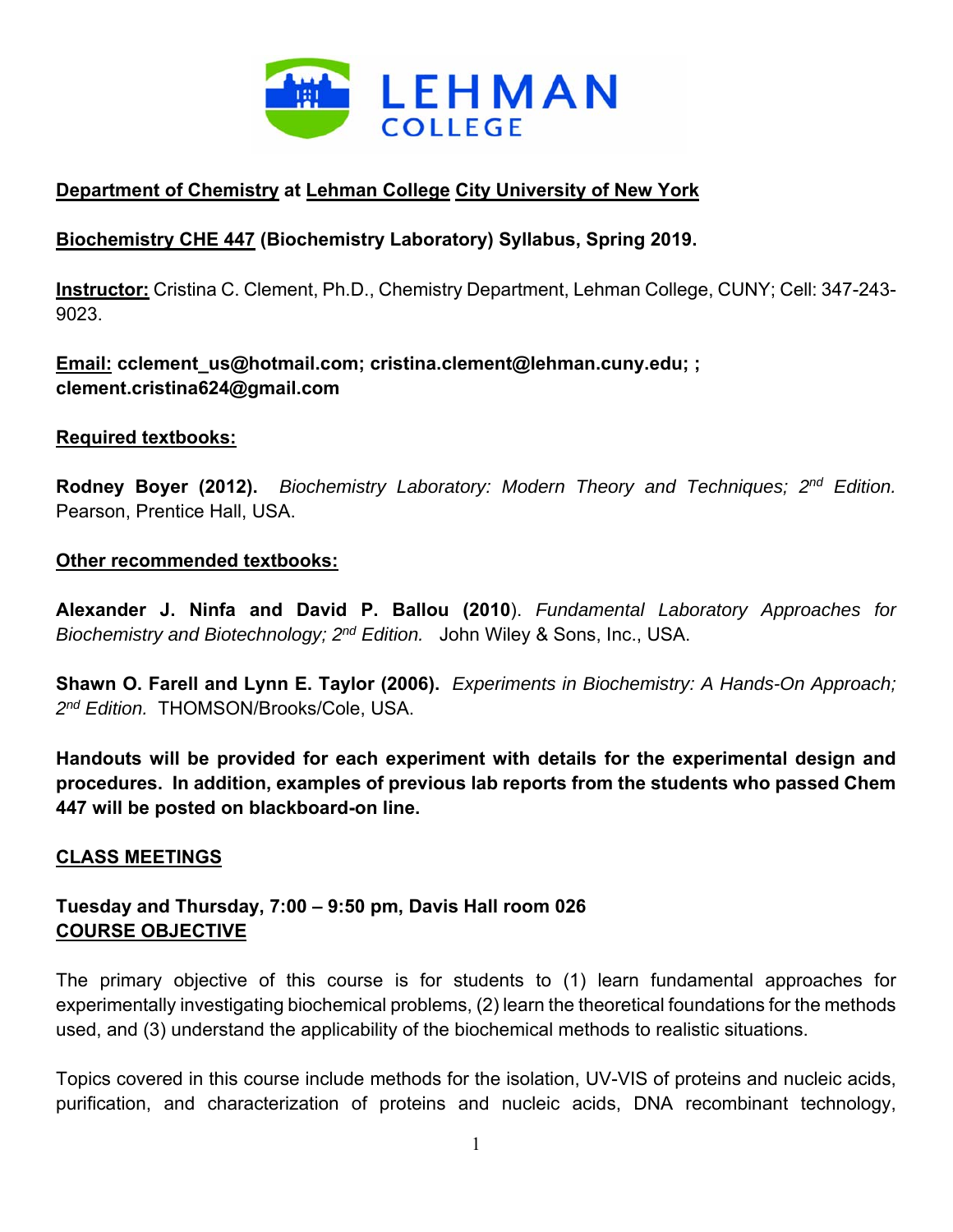

# **Department of Chemistry at Lehman College City University of New York**

## **Biochemistry CHE 447 (Biochemistry Laboratory) Syllabus, Spring 2019.**

**Instructor:** Cristina C. Clement, Ph.D., Chemistry Department, Lehman College, CUNY; Cell: 347-243- 9023.

**Email: cclement\_us@hotmail.com; cristina.clement@lehman.cuny.edu; ; clement.cristina624@gmail.com**

#### **Required textbooks:**

**Rodney Boyer (2012).** *Biochemistry Laboratory: Modern Theory and Techniques; 2nd Edition.*  Pearson, Prentice Hall, USA.

#### **Other recommended textbooks:**

**Alexander J. Ninfa and David P. Ballou (2010**). *Fundamental Laboratory Approaches for Biochemistry and Biotechnology; 2nd Edition.* John Wiley & Sons, Inc., USA.

**Shawn O. Farell and Lynn E. Taylor (2006).** *Experiments in Biochemistry: A Hands-On Approach; 2nd Edition.* THOMSON/Brooks/Cole, USA.

**Handouts will be provided for each experiment with details for the experimental design and procedures. In addition, examples of previous lab reports from the students who passed Chem 447 will be posted on blackboard-on line.** 

### **CLASS MEETINGS**

## **Tuesday and Thursday, 7:00 – 9:50 pm, Davis Hall room 026 COURSE OBJECTIVE**

The primary objective of this course is for students to (1) learn fundamental approaches for experimentally investigating biochemical problems, (2) learn the theoretical foundations for the methods used, and (3) understand the applicability of the biochemical methods to realistic situations.

Topics covered in this course include methods for the isolation, UV-VIS of proteins and nucleic acids, purification, and characterization of proteins and nucleic acids, DNA recombinant technology,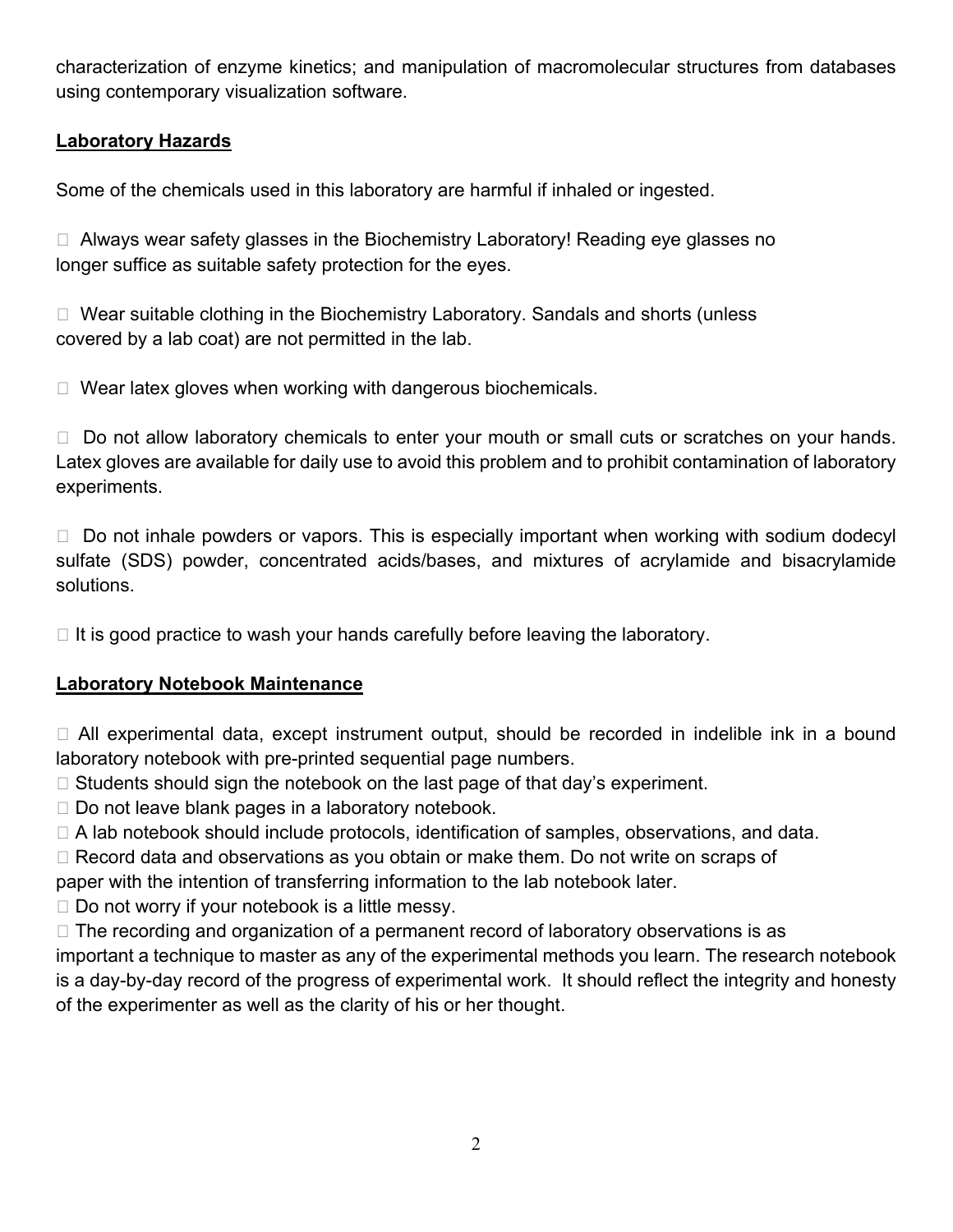characterization of enzyme kinetics; and manipulation of macromolecular structures from databases using contemporary visualization software.

## **Laboratory Hazards**

Some of the chemicals used in this laboratory are harmful if inhaled or ingested.

□ Always wear safety glasses in the Biochemistry Laboratory! Reading eye glasses no longer suffice as suitable safety protection for the eyes.

□ Wear suitable clothing in the Biochemistry Laboratory. Sandals and shorts (unless covered by a lab coat) are not permitted in the lab.

 $\Box$  Wear latex gloves when working with dangerous biochemicals.

 $\Box$  Do not allow laboratory chemicals to enter your mouth or small cuts or scratches on your hands. Latex gloves are available for daily use to avoid this problem and to prohibit contamination of laboratory experiments.

 $\Box$  Do not inhale powders or vapors. This is especially important when working with sodium dodecyl sulfate (SDS) powder, concentrated acids/bases, and mixtures of acrylamide and bisacrylamide solutions.

 $\Box$  It is good practice to wash your hands carefully before leaving the laboratory.

### **Laboratory Notebook Maintenance**

 All experimental data, except instrument output, should be recorded in indelible ink in a bound laboratory notebook with pre-printed sequential page numbers.

- $\Box$  Students should sign the notebook on the last page of that day's experiment.
- $\Box$  Do not leave blank pages in a laboratory notebook.
- □ A lab notebook should include protocols, identification of samples, observations, and data.
- □ Record data and observations as you obtain or make them. Do not write on scraps of

paper with the intention of transferring information to the lab notebook later.

 $\Box$  Do not worry if your notebook is a little messy.

 $\Box$  The recording and organization of a permanent record of laboratory observations is as important a technique to master as any of the experimental methods you learn. The research notebook is a day-by-day record of the progress of experimental work. It should reflect the integrity and honesty of the experimenter as well as the clarity of his or her thought.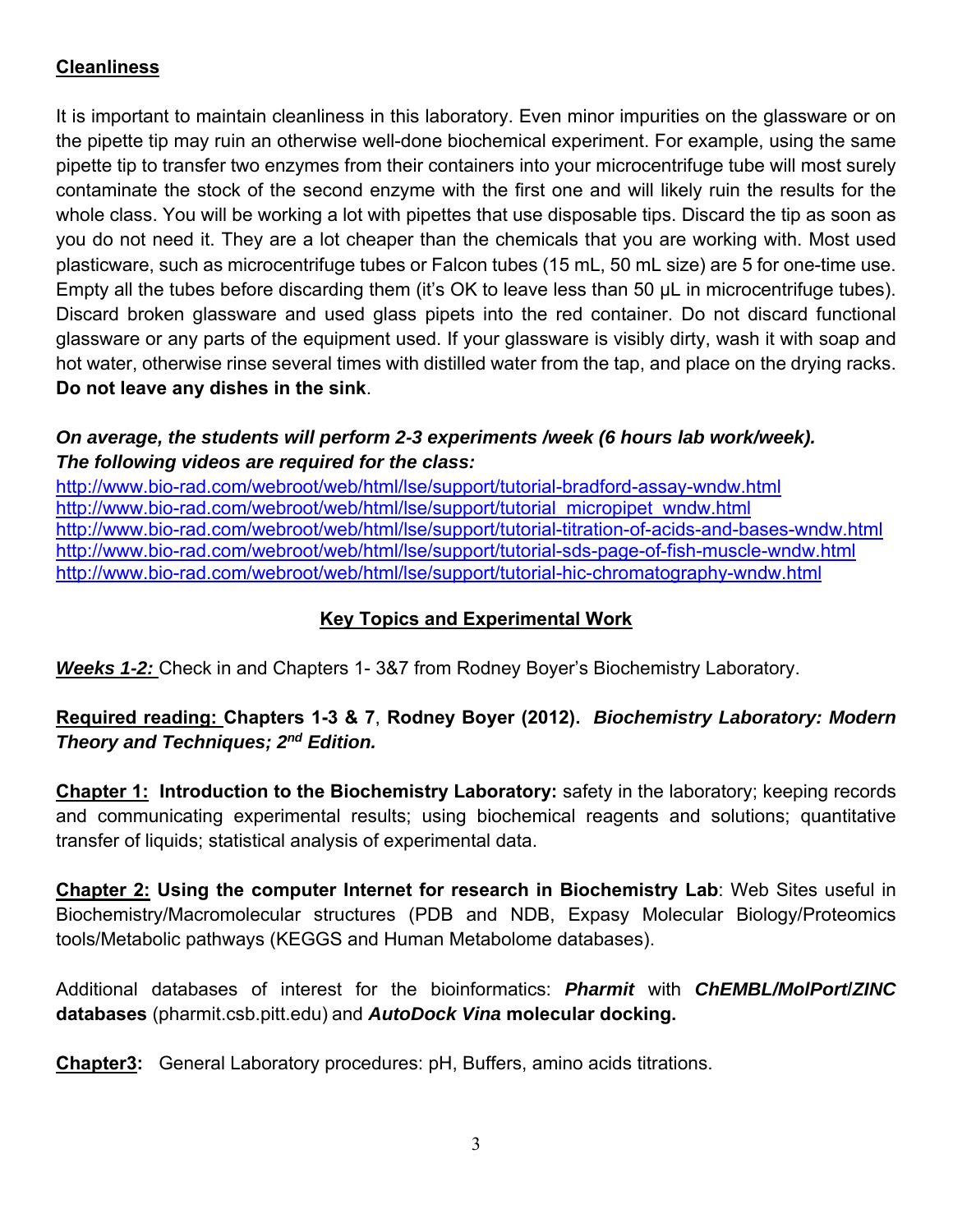# **Cleanliness**

It is important to maintain cleanliness in this laboratory. Even minor impurities on the glassware or on the pipette tip may ruin an otherwise well-done biochemical experiment. For example, using the same pipette tip to transfer two enzymes from their containers into your microcentrifuge tube will most surely contaminate the stock of the second enzyme with the first one and will likely ruin the results for the whole class. You will be working a lot with pipettes that use disposable tips. Discard the tip as soon as you do not need it. They are a lot cheaper than the chemicals that you are working with. Most used plasticware, such as microcentrifuge tubes or Falcon tubes (15 mL, 50 mL size) are 5 for one-time use. Empty all the tubes before discarding them (it's OK to leave less than 50 μL in microcentrifuge tubes). Discard broken glassware and used glass pipets into the red container. Do not discard functional glassware or any parts of the equipment used. If your glassware is visibly dirty, wash it with soap and hot water, otherwise rinse several times with distilled water from the tap, and place on the drying racks. **Do not leave any dishes in the sink**.

## *On average, the students will perform 2-3 experiments /week (6 hours lab work/week). The following videos are required for the class:*

http://www.bio-rad.com/webroot/web/html/lse/support/tutorial-bradford-assay-wndw.html http://www.bio-rad.com/webroot/web/html/lse/support/tutorial\_micropipet\_wndw.html http://www.bio-rad.com/webroot/web/html/lse/support/tutorial-titration-of-acids-and-bases-wndw.html http://www.bio-rad.com/webroot/web/html/lse/support/tutorial-sds-page-of-fish-muscle-wndw.html http://www.bio-rad.com/webroot/web/html/lse/support/tutorial-hic-chromatography-wndw.html

## **Key Topics and Experimental Work**

*Weeks 1-2:* Check in and Chapters 1- 3&7 from Rodney Boyer's Biochemistry Laboratory.

# **Required reading: Chapters 1-3 & 7**, **Rodney Boyer (2012).** *Biochemistry Laboratory: Modern Theory and Techniques; 2nd Edition.*

**Chapter 1: Introduction to the Biochemistry Laboratory:** safety in the laboratory; keeping records and communicating experimental results; using biochemical reagents and solutions; quantitative transfer of liquids; statistical analysis of experimental data.

**Chapter 2: Using the computer Internet for research in Biochemistry Lab**: Web Sites useful in Biochemistry/Macromolecular structures (PDB and NDB, Expasy Molecular Biology/Proteomics tools/Metabolic pathways (KEGGS and Human Metabolome databases).

Additional databases of interest for the bioinformatics: *Pharmit* with *ChEMBL/MolPort***/***ZINC*  **databases** (pharmit.csb.pitt.edu) and *AutoDock Vina* **molecular docking.** 

**Chapter3:** General Laboratory procedures: pH, Buffers, amino acids titrations.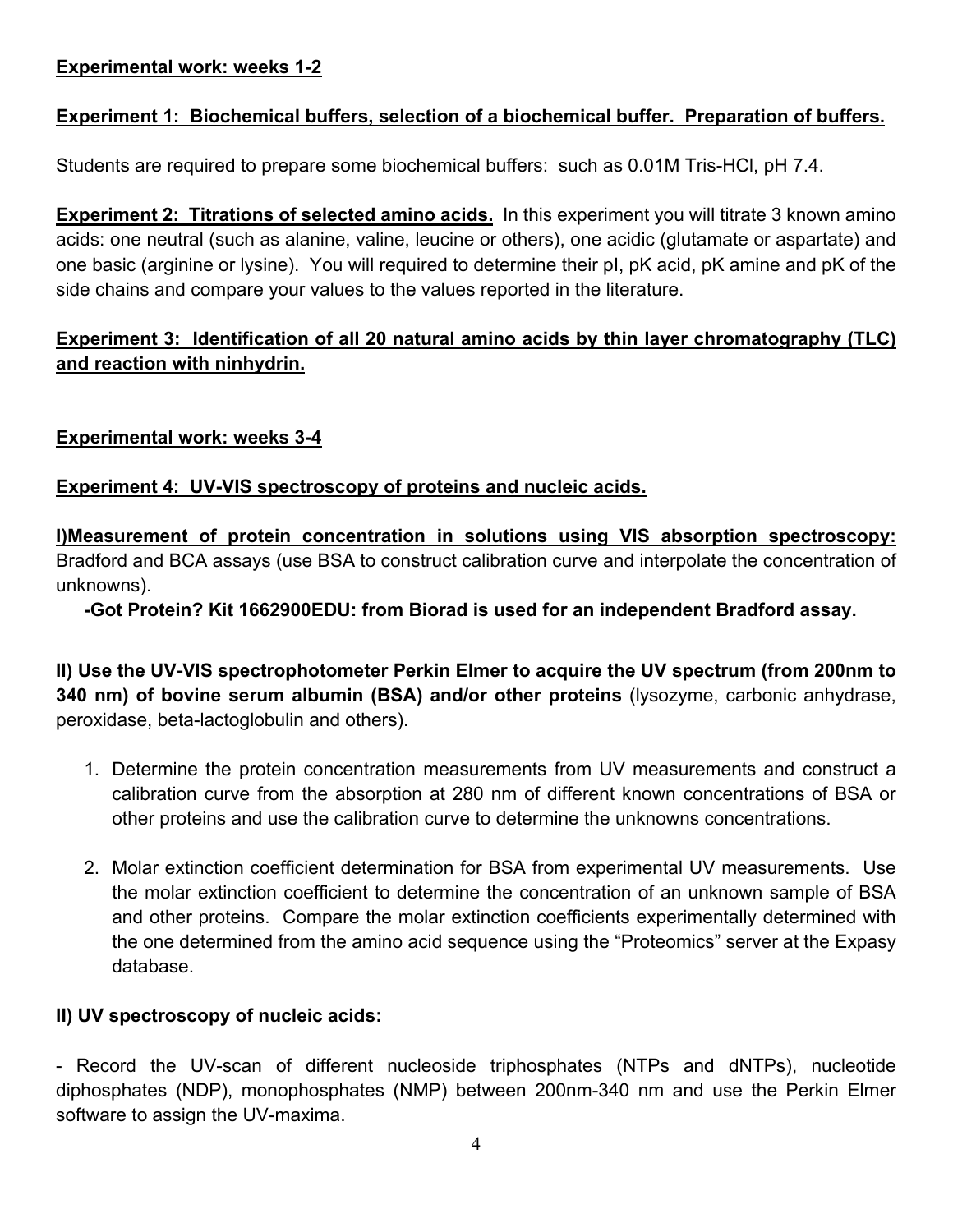### **Experimental work: weeks 1-2**

### **Experiment 1: Biochemical buffers, selection of a biochemical buffer. Preparation of buffers.**

Students are required to prepare some biochemical buffers: such as 0.01M Tris-HCl, pH 7.4.

**Experiment 2: Titrations of selected amino acids.** In this experiment you will titrate 3 known amino acids: one neutral (such as alanine, valine, leucine or others), one acidic (glutamate or aspartate) and one basic (arginine or lysine). You will required to determine their pI, pK acid, pK amine and pK of the side chains and compare your values to the values reported in the literature.

## **Experiment 3: Identification of all 20 natural amino acids by thin layer chromatography (TLC) and reaction with ninhydrin.**

#### **Experimental work: weeks 3-4**

#### **Experiment 4: UV-VIS spectroscopy of proteins and nucleic acids.**

**I)Measurement of protein concentration in solutions using VIS absorption spectroscopy:**  Bradford and BCA assays (use BSA to construct calibration curve and interpolate the concentration of unknowns).

**-Got Protein? Kit 1662900EDU: from Biorad is used for an independent Bradford assay.** 

**II) Use the UV-VIS spectrophotometer Perkin Elmer to acquire the UV spectrum (from 200nm to 340 nm) of bovine serum albumin (BSA) and/or other proteins** (lysozyme, carbonic anhydrase, peroxidase, beta-lactoglobulin and others).

- 1. Determine the protein concentration measurements from UV measurements and construct a calibration curve from the absorption at 280 nm of different known concentrations of BSA or other proteins and use the calibration curve to determine the unknowns concentrations.
- 2. Molar extinction coefficient determination for BSA from experimental UV measurements. Use the molar extinction coefficient to determine the concentration of an unknown sample of BSA and other proteins. Compare the molar extinction coefficients experimentally determined with the one determined from the amino acid sequence using the "Proteomics" server at the Expasy database.

#### **II) UV spectroscopy of nucleic acids:**

- Record the UV-scan of different nucleoside triphosphates (NTPs and dNTPs), nucleotide diphosphates (NDP), monophosphates (NMP) between 200nm-340 nm and use the Perkin Elmer software to assign the UV-maxima.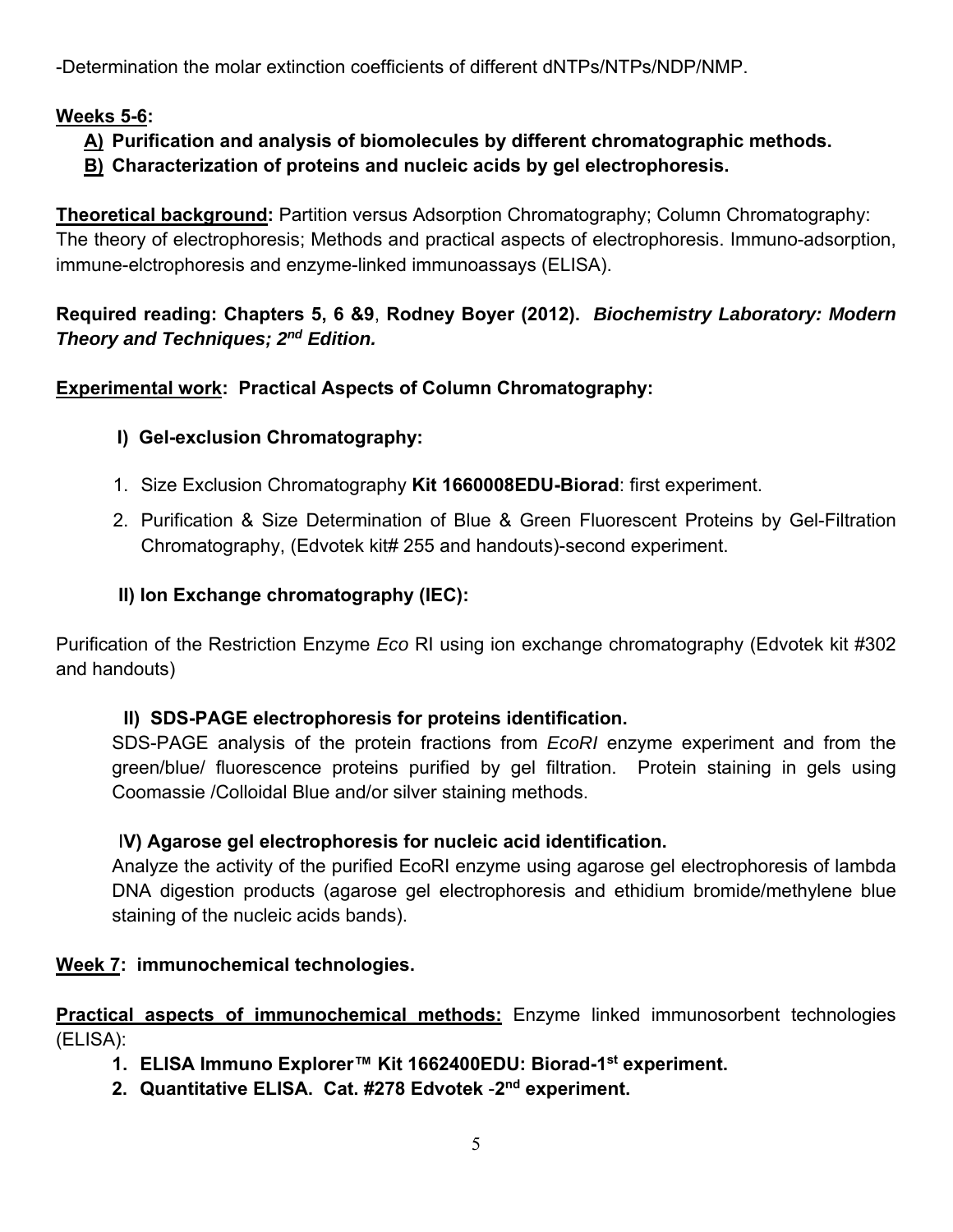-Determination the molar extinction coefficients of different dNTPs/NTPs/NDP/NMP.

# **Weeks 5-6:**

### **A) Purification and analysis of biomolecules by different chromatographic methods. B) Characterization of proteins and nucleic acids by gel electrophoresis.**

**Theoretical background:** Partition versus Adsorption Chromatography; Column Chromatography: The theory of electrophoresis; Methods and practical aspects of electrophoresis. Immuno-adsorption, immune-elctrophoresis and enzyme-linked immunoassays (ELISA).

## **Required reading: Chapters 5, 6 &9**, **Rodney Boyer (2012).** *Biochemistry Laboratory: Modern Theory and Techniques; 2nd Edition.*

## **Experimental work: Practical Aspects of Column Chromatography:**

# **I) Gel-exclusion Chromatography:**

- 1. Size Exclusion Chromatography **Kit 1660008EDU-Biorad**: first experiment.
- 2. Purification & Size Determination of Blue & Green Fluorescent Proteins by Gel-Filtration Chromatography, (Edvotek kit# 255 and handouts)-second experiment.

## **II) Ion Exchange chromatography (IEC):**

Purification of the Restriction Enzyme *Eco* RI using ion exchange chromatography (Edvotek kit #302 and handouts)

## **II) SDS-PAGE electrophoresis for proteins identification.**

SDS-PAGE analysis of the protein fractions from *EcoRI* enzyme experiment and from the green/blue/ fluorescence proteins purified by gel filtration. Protein staining in gels using Coomassie /Colloidal Blue and/or silver staining methods.

## I**V) Agarose gel electrophoresis for nucleic acid identification.**

Analyze the activity of the purified EcoRI enzyme using agarose gel electrophoresis of lambda DNA digestion products (agarose gel electrophoresis and ethidium bromide/methylene blue staining of the nucleic acids bands).

## **Week 7: immunochemical technologies.**

**Practical aspects of immunochemical methods:** Enzyme linked immunosorbent technologies (ELISA):

- **1. ELISA Immuno Explorer™ Kit 1662400EDU: Biorad-1st experiment.**
- **2. Quantitative ELISA. Cat. #278 Edvotek** -**2nd experiment.**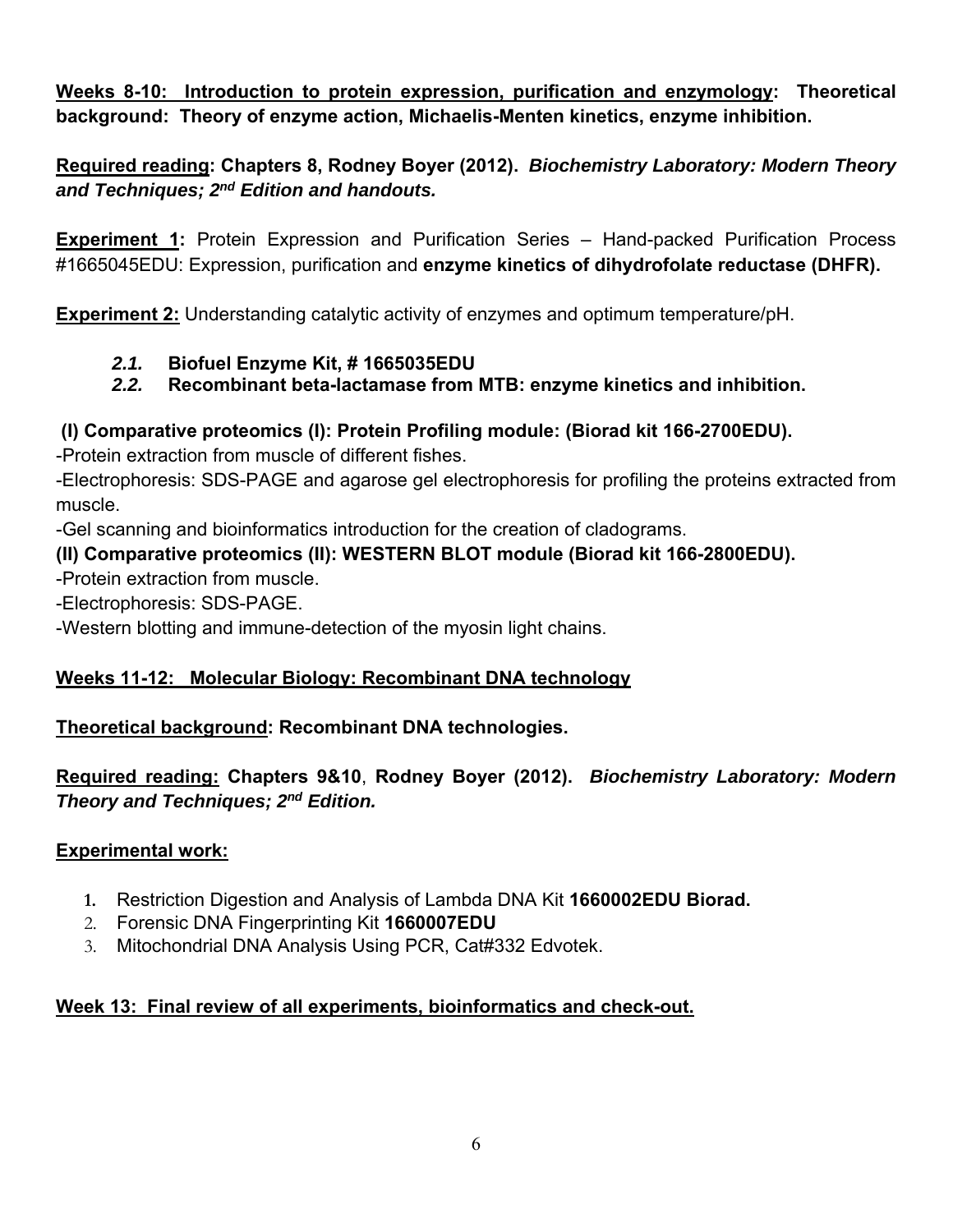**Weeks 8-10: Introduction to protein expression, purification and enzymology: Theoretical background: Theory of enzyme action, Michaelis-Menten kinetics, enzyme inhibition.** 

**Required reading: Chapters 8, Rodney Boyer (2012).** *Biochemistry Laboratory: Modern Theory and Techniques; 2nd Edition and handouts.* 

**Experiment 1:** Protein Expression and Purification Series – Hand-packed Purification Process #1665045EDU: Expression, purification and **enzyme kinetics of dihydrofolate reductase (DHFR).**

**Experiment 2:** Understanding catalytic activity of enzymes and optimum temperature/pH.

# *2.1.* **Biofuel Enzyme Kit, # 1665035EDU**

# *2.2.* **Recombinant beta-lactamase from MTB: enzyme kinetics and inhibition.**

# **(I) Comparative proteomics (I): Protein Profiling module: (Biorad kit 166-2700EDU).**

-Protein extraction from muscle of different fishes.

-Electrophoresis: SDS-PAGE and agarose gel electrophoresis for profiling the proteins extracted from muscle.

-Gel scanning and bioinformatics introduction for the creation of cladograms.

## **(II) Comparative proteomics (II): WESTERN BLOT module (Biorad kit 166-2800EDU).**

-Protein extraction from muscle.

-Electrophoresis: SDS-PAGE.

-Western blotting and immune-detection of the myosin light chains.

## **Weeks 11-12: Molecular Biology: Recombinant DNA technology**

## **Theoretical background: Recombinant DNA technologies.**

**Required reading: Chapters 9&10**, **Rodney Boyer (2012).** *Biochemistry Laboratory: Modern Theory and Techniques; 2nd Edition.* 

## **Experimental work:**

- **1.** Restriction Digestion and Analysis of Lambda DNA Kit **1660002EDU Biorad.**
- 2. Forensic DNA Fingerprinting Kit **1660007EDU**
- 3. Mitochondrial DNA Analysis Using PCR, Cat#332 Edvotek.

## **Week 13: Final review of all experiments, bioinformatics and check-out.**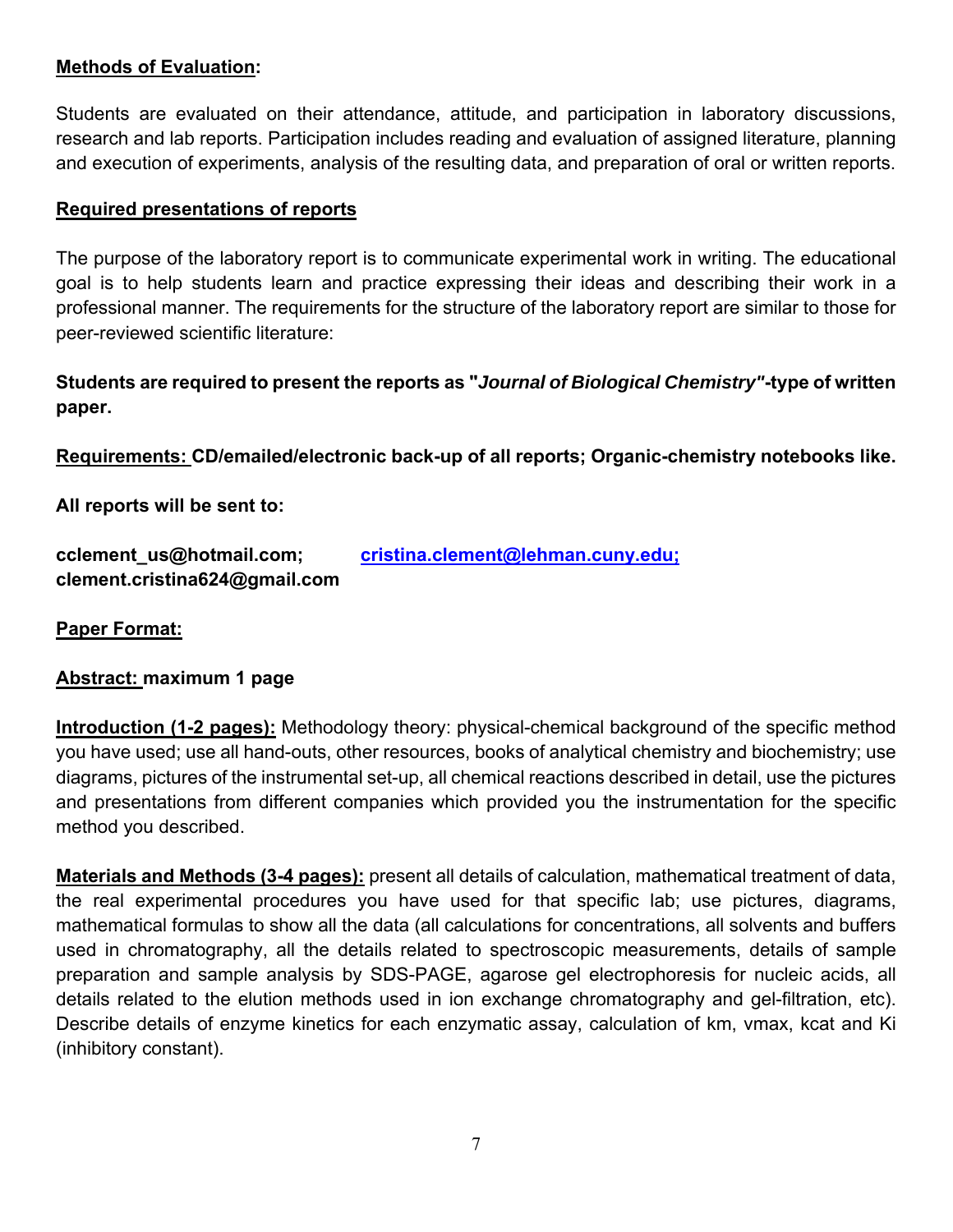### **Methods of Evaluation:**

Students are evaluated on their attendance, attitude, and participation in laboratory discussions, research and lab reports. Participation includes reading and evaluation of assigned literature, planning and execution of experiments, analysis of the resulting data, and preparation of oral or written reports.

#### **Required presentations of reports**

The purpose of the laboratory report is to communicate experimental work in writing. The educational goal is to help students learn and practice expressing their ideas and describing their work in a professional manner. The requirements for the structure of the laboratory report are similar to those for peer-reviewed scientific literature:

## **Students are required to present the reports as "***Journal of Biological Chemistry"***-type of written paper.**

**Requirements: CD/emailed/electronic back-up of all reports; Organic-chemistry notebooks like.** 

**All reports will be sent to:** 

| cclement_us@hotmail.com;      | cristina.clement@lehman.cuny.edu; |
|-------------------------------|-----------------------------------|
| clement.cristina624@gmail.com |                                   |

**Paper Format:** 

### **Abstract: maximum 1 page**

**Introduction (1-2 pages):** Methodology theory: physical-chemical background of the specific method you have used; use all hand-outs, other resources, books of analytical chemistry and biochemistry; use diagrams, pictures of the instrumental set-up, all chemical reactions described in detail, use the pictures and presentations from different companies which provided you the instrumentation for the specific method you described.

**Materials and Methods (3-4 pages):** present all details of calculation, mathematical treatment of data, the real experimental procedures you have used for that specific lab; use pictures, diagrams, mathematical formulas to show all the data (all calculations for concentrations, all solvents and buffers used in chromatography, all the details related to spectroscopic measurements, details of sample preparation and sample analysis by SDS-PAGE, agarose gel electrophoresis for nucleic acids, all details related to the elution methods used in ion exchange chromatography and gel-filtration, etc). Describe details of enzyme kinetics for each enzymatic assay, calculation of km, vmax, kcat and Ki (inhibitory constant).